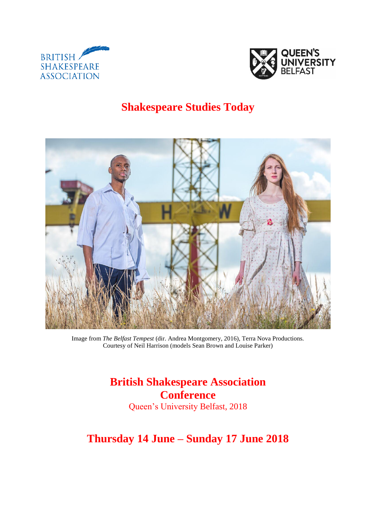



## **Shakespeare Studies Today**



Image from *The Belfast Tempest* (dir. Andrea Montgomery, 2016), Terra Nova Productions. Courtesy of Neil Harrison (models Sean Brown and Louise Parker)

> **British Shakespeare Association Conference**  Queen's University Belfast, 2018

**Thursday 14 June – Sunday 17 June 2018**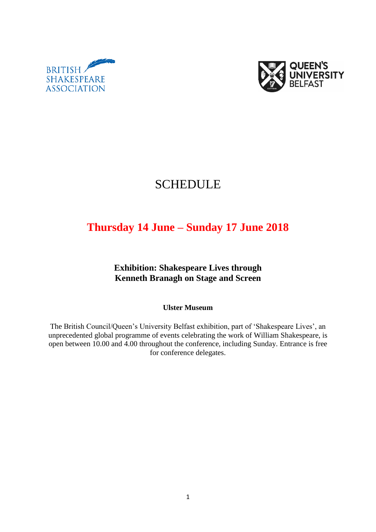



# SCHEDULE

# **Thursday 14 June – Sunday 17 June 2018**

**Exhibition: Shakespeare Lives through Kenneth Branagh on Stage and Screen**

**Ulster Museum**

The British Council/Queen's University Belfast exhibition, part of 'Shakespeare Lives', an unprecedented global programme of events celebrating the work of William Shakespeare, is open between 10.00 and 4.00 throughout the conference, including Sunday. Entrance is free for conference delegates.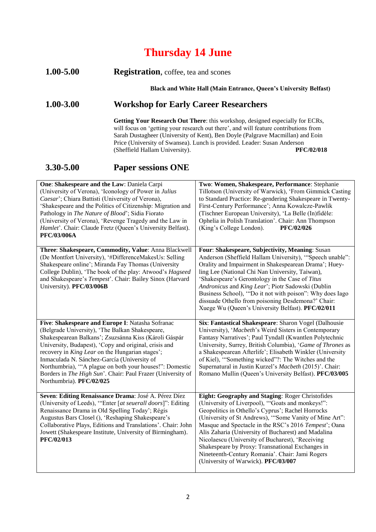## **Thursday 14 June**

#### **1.00-5.00 Registration**, coffee, tea and scones

**Black and White Hall (Main Entrance, Queen's University Belfast)** 

### **1.00-3.00 Workshop for Early Career Researchers**

**Getting Your Research Out There**: this workshop, designed especially for ECRs, will focus on 'getting your research out there', and will feature contributions from Sarah Dustagheer (University of Kent), Ben Doyle (Palgrave Macmillan) and Eoin Price (University of Swansea). Lunch is provided. Leader: Susan Anderson<br>(Sheffield Hallam University). PFC/02/018 (Sheffield Hallam University).

### **3.30-5.00 Paper sessions ONE**

| One: Shakespeare and the Law: Daniela Carpi<br>(University of Verona), 'Iconology of Power in Julius<br>Caesar'; Chiara Battisti (University of Verona),<br>'Shakespeare and the Politics of Citizenship: Migration and<br>Pathology in The Nature of Blood'; Sidia Fiorato<br>(University of Verona), 'Revenge Tragedy and the Law in<br>Hamlet'. Chair: Claude Fretz (Queen's University Belfast).<br>PFC/03/006A                                                           | Two: Women, Shakespeare, Performance: Stephanie<br>Tillotson (University of Warwick), 'From Gimmick Casting<br>to Standard Practice: Re-gendering Shakespeare in Twenty-<br>First-Century Performance'; Anna Kowalcze-Pawlik<br>(Tischner European University), 'La Belle (In)fidèle:<br>Ophelia in Polish Translation'. Chair: Ann Thompson<br>(King's College London).<br>PFC/02/026                                                                                                                                                |
|-------------------------------------------------------------------------------------------------------------------------------------------------------------------------------------------------------------------------------------------------------------------------------------------------------------------------------------------------------------------------------------------------------------------------------------------------------------------------------|---------------------------------------------------------------------------------------------------------------------------------------------------------------------------------------------------------------------------------------------------------------------------------------------------------------------------------------------------------------------------------------------------------------------------------------------------------------------------------------------------------------------------------------|
| Three: Shakespeare, Commodity, Value: Anna Blackwell<br>(De Montfort University), '#DifferenceMakesUs: Selling<br>Shakespeare online'; Miranda Fay Thomas (University<br>College Dublin), 'The book of the play: Atwood's Hagseed<br>and Shakespeare's Tempest'. Chair: Bailey Sinox (Harvard<br>University). PFC/03/006B                                                                                                                                                     | Four: Shakespeare, Subjectivity, Meaning: Susan<br>Anderson (Sheffield Hallam University), "Speech unable":<br>Orality and Impairment in Shakespearean Drama'; Huey-<br>ling Lee (National Chi Nan University, Taiwan),<br>'Shakespeare's Gerontology in the Case of Titus<br>Andronicus and King Lear'; Piotr Sadowski (Dublin<br>Business School), "Do it not with poison": Why does Iago<br>dissuade Othello from poisoning Desdemona?' Chair:<br>Xuege Wu (Queen's University Belfast). PFC/02/011                                |
| Five: Shakespeare and Europe I: Natasha Sofranac<br>(Belgrade University), 'The Balkan Shakespeare,<br>Shakespearean Balkans'; Zsuzsánna Kiss (Károli Gáspár<br>University, Budapest), 'Copy and original, crisis and<br>recovery in King Lear on the Hungarian stages';<br>Inmaculada N. Sánchez-García (University of<br>Northumbria), "A plague on both your houses!": Domestic<br>Borders in The High Sun'. Chair: Paul Frazer (University of<br>Northumbria). PFC/02/025 | Six: Fantastical Shakespeare: Sharon Vogel (Dalhousie<br>University), 'Macbeth's Weird Sisters in Contemporary<br>Fantasy Narratives'; Paul Tyndall (Kwantlen Polytechnic<br>University, Surrey, British Columbia), 'Game of Thrones as<br>a Shakespearean Afterlife'; Elisabeth Winkler (University<br>of Kiel), "Something wicked"?: The Witches and the<br>Supernatural in Justin Kurzel's Macbeth (2015)'. Chair:<br>Romano Mullin (Queen's University Belfast). PFC/03/005                                                       |
| Seven: Editing Renaissance Drama: José A. Pérez Díez<br>(University of Leeds), "Enter [at seuerall doors]": Editing<br>Renaissance Drama in Old Spelling Today'; Régis<br>Augustus Bars Closel (), 'Reshaping Shakespeare's<br>Collaborative Plays, Editions and Translations'. Chair: John<br>Jowett (Shakespeare Institute, University of Birmingham).<br>PFC/02/013                                                                                                        | Eight: Geography and Staging: Roger Christofides<br>(University of Liverpool), "Goats and monkeys!":<br>Geopolitics in Othello's Cyprus'; Rachel Horrocks<br>(University of St Andrews), "Some Vanity of Mine Art":<br>Masque and Spectacle in the RSC's 2016 Tempest'; Oana<br>Alis Zaharia (University of Bucharest) and Madalina<br>Nicolaescu (University of Bucharest), 'Receiving<br>Shakespeare by Proxy: Transnational Exchanges in<br>Nineteenth-Century Romania'. Chair: Jami Rogers<br>(University of Warwick). PFC/03/007 |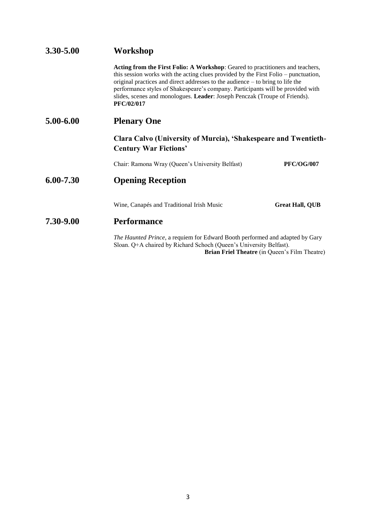| 3.30-5.00                                                                                                                                          | Workshop                                                                                                                                                                                                                                                                                                                                                                                                                                      |                        |  |
|----------------------------------------------------------------------------------------------------------------------------------------------------|-----------------------------------------------------------------------------------------------------------------------------------------------------------------------------------------------------------------------------------------------------------------------------------------------------------------------------------------------------------------------------------------------------------------------------------------------|------------------------|--|
|                                                                                                                                                    | Acting from the First Folio: A Workshop: Geared to practitioners and teachers,<br>this session works with the acting clues provided by the First Folio – punctuation,<br>original practices and direct addresses to the audience – to bring to life the<br>performance styles of Shakespeare's company. Participants will be provided with<br>slides, scenes and monologues. Leader: Joseph Penczak (Troupe of Friends).<br><b>PFC/02/017</b> |                        |  |
| 5.00-6.00<br><b>Plenary One</b><br>Clara Calvo (University of Murcia), 'Shakespeare and Twentieth-<br><b>Century War Fictions'</b>                 |                                                                                                                                                                                                                                                                                                                                                                                                                                               |                        |  |
|                                                                                                                                                    |                                                                                                                                                                                                                                                                                                                                                                                                                                               |                        |  |
|                                                                                                                                                    | Chair: Ramona Wray (Queen's University Belfast)                                                                                                                                                                                                                                                                                                                                                                                               | <b>PFC/OG/007</b>      |  |
| 6.00-7.30                                                                                                                                          | <b>Opening Reception</b>                                                                                                                                                                                                                                                                                                                                                                                                                      |                        |  |
|                                                                                                                                                    | Wine, Canapés and Traditional Irish Music                                                                                                                                                                                                                                                                                                                                                                                                     | <b>Great Hall, QUB</b> |  |
| 7.30-9.00                                                                                                                                          | <b>Performance</b>                                                                                                                                                                                                                                                                                                                                                                                                                            |                        |  |
| The Haunted Prince, a requiem for Edward Booth performed and adapted by Gary<br>Sloan. Q+A chaired by Richard Schoch (Queen's University Belfast). |                                                                                                                                                                                                                                                                                                                                                                                                                                               |                        |  |

**Brian Friel Theatre** (in Queen's Film Theatre)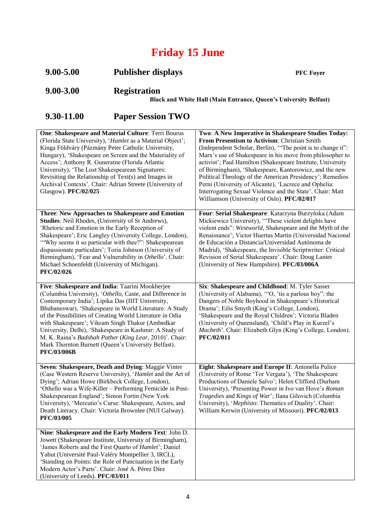# **Friday 15 June**

| $9.00 - 5.00$ | <b>Publisher displays</b>                                                                      | <b>PFC Fover</b> |
|---------------|------------------------------------------------------------------------------------------------|------------------|
| $9.00 - 3.00$ | <b>Registration</b><br><b>Black and White Hall (Main Entrance, Queen's University Belfast)</b> |                  |

## **9.30-11.00 Paper Session TWO**

| One: Shakespeare and Material Culture: Terri Bourus        | Two: A New Imperative in Shakespeare Studies Today:         |
|------------------------------------------------------------|-------------------------------------------------------------|
| (Florida State University), 'Hamlet as a Material Object'; | From Presentism to Activism: Christian Smith                |
| Kinga Földváry (Pázmány Peter Catholic University,         | (Independent Scholar, Berlin), "The point is to change it": |
| Hungary), 'Shakespeare on Screen and the Materiality of    | Marx's use of Shakespeare in his move from philosopher to   |
| Access'; Anthony R. Guneratne (Florida Atlantic            | activist'; Paul Hamilton (Shakespeare Institute, University |
| University), 'The Lost Shakespearean Signatures:           | of Birmingham), 'Shakespeare, Kantorowicz, and the new      |
| Revisiting the Relationship of Text(s) and Images in       | Political Theology of the American Presidency'; Remedios    |
| Archival Contexts'. Chair: Adrian Streete (University of   | Perni (University of Alicante), 'Lucrece and Ophelia:       |
| Glasgow). PFC/02/025                                       | Interrogating Sexual Violence and the State'. Chair: Matt   |
|                                                            | Williamson (University of Oslo). PFC/02/017                 |
|                                                            |                                                             |
| Three: New Approaches to Shakespeare and Emotion           | Four: Serial Shakespeare: Katarzyna Burzyńska (Adam         |
| Studies: Neil Rhodes, (University of St Andrews),          | Mickiewicz University), "These violent delights have        |
| 'Rhetoric and Emotion in the Early Reception of            | violent ends": Westworld, Shakespeare and the Myth of the   |
| Shakespeare'; Eric Langley (University College, London),   | Renaissance'; Victor Huertas Martín (Universidad Nacional   |
| "Why seems it so particular with thee?": Shakespearean     | de Educación a Distancia/Universidad Autónoma de            |
| dispassionate particulars'; Toria Johnson (University of   | Madrid), 'Shakespeare, the Invisible Scriptwriter: Critical |
| Birmingham), 'Fear and Vulnerability in Othello'. Chair:   | Revision of Serial Shakespeare'. Chair: Doug Lanier         |
| Michael Schoenfeldt (University of Michigan).              | (University of New Hampshire). PFC/03/006A                  |
| PFC/02/026                                                 |                                                             |
|                                                            |                                                             |
| Five: Shakespeare and India: Taarini Mookherjee            | Six: Shakespeare and Childhood: M. Tyler Sasser             |
| (Columbia University), 'Othello, Caste, and Difference in  | (University of Alabama), "O, 'tis a parlous boy": the       |
| Contemporary India'; Lipika Das (IIIT University,          | Dangers of Noble Boyhood in Shakespeare's Historical        |
| Bhubaneswar), 'Shakespeare in World Literature: A Study    | Drama'; Eilis Smyth (King's College, London),               |
| of the Possibilities of Creating World Literature in Odia  | 'Shakespeare and the Royal Children'; Victoria Bladen       |
| with Shakespeare'; Vikram Singh Thakur (Ambedkar           | (University of Queensland), 'Child's Play in Kurzel's       |
| University, Delhi), 'Shakespeare in Kashmir: A Study of    | Macbeth'. Chair: Elizabeth Glyn (King's College, London).   |
| M. K. Raina's Badshah Pather (King Lear, 2010)'. Chair:    | PFC/02/011                                                  |
| Mark Thornton Burnett (Queen's University Belfast).        |                                                             |
| PFC/03/006B                                                |                                                             |
|                                                            |                                                             |
| Seven: Shakespeare, Death and Dying: Maggie Vinter         | Eight: Shakespeare and Europe II: Antonella Pulice          |
| (Case Western Reserve University), 'Hamlet and the Art of  | (University of Rome 'Tor Vergata'), 'The Shakespeare        |
| Dying'; Adrian Howe (Birkbeck College, London),            | Productions of Daniele Salvo'; Helen Clifford (Durham       |
| 'Othello was a Wife-Killer - Performing Femicide in Post-  | University), 'Presenting Power in Ivo van Hove's Roman      |
| Shakespearean England'; Simon Fortin (New York             | Tragedies and Kings of War'; Ilana Gilovich (Columbia       |
| University), 'Mercutio's Curse: Shakespeare, Actors, and   | University), 'Mephisto: Thematics of Duality'. Chair:       |
| Death Literacy. Chair: Victoria Brownlee (NUI Galway).     | William Kerwin (University of Missouri). PFC/02/013         |
| PFC/03/005                                                 |                                                             |
| Nine: Shakespeare and the Early Modern Text: John D.       |                                                             |
| Jowett (Shakespeare Institute, University of Birmingham),  |                                                             |
| 'James Roberts and the First Quarto of Hamlet'; Daniel     |                                                             |
| Yabut (Université Paul-Valéry Montpellier 3, IRCL),        |                                                             |
| 'Standing on Points: the Role of Punctuation in the Early  |                                                             |
| Modern Actor's Parts'. Chair: José A. Pérez Díez           |                                                             |
| (University of Leeds). PFC/03/011                          |                                                             |
|                                                            |                                                             |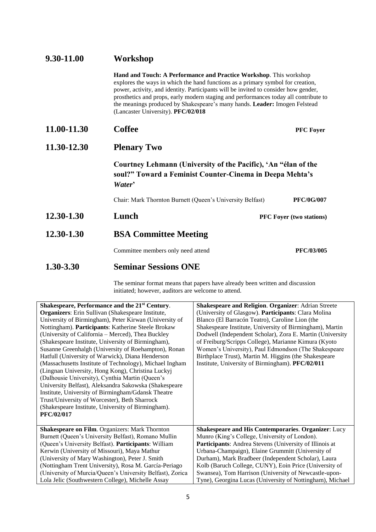| 9.30-11.00  | Workshop                                                                                                                                                                                                                                                                                                                                                                                                                                                 |                                 |
|-------------|----------------------------------------------------------------------------------------------------------------------------------------------------------------------------------------------------------------------------------------------------------------------------------------------------------------------------------------------------------------------------------------------------------------------------------------------------------|---------------------------------|
|             | Hand and Touch: A Performance and Practice Workshop. This workshop<br>explores the ways in which the hand functions as a primary symbol for creation,<br>power, activity, and identity. Participants will be invited to consider how gender,<br>prosthetics and props, early modern staging and performances today all contribute to<br>the meanings produced by Shakespeare's many hands. Leader: Imogen Felstead<br>(Lancaster University). PFC/02/018 |                                 |
| 11.00-11.30 | <b>Coffee</b>                                                                                                                                                                                                                                                                                                                                                                                                                                            | <b>PFC Foyer</b>                |
| 11.30-12.30 | <b>Plenary Two</b><br>Courtney Lehmann (University of the Pacific), 'An "élan of the<br>soul?" Toward a Feminist Counter-Cinema in Deepa Mehta's<br>Water'                                                                                                                                                                                                                                                                                               |                                 |
|             |                                                                                                                                                                                                                                                                                                                                                                                                                                                          |                                 |
|             | Chair: Mark Thornton Burnett (Queen's University Belfast)                                                                                                                                                                                                                                                                                                                                                                                                | <b>PFC/0G/007</b>               |
| 12.30-1.30  | Lunch                                                                                                                                                                                                                                                                                                                                                                                                                                                    | <b>PFC Foyer (two stations)</b> |
| 12.30-1.30  | <b>BSA Committee Meeting</b>                                                                                                                                                                                                                                                                                                                                                                                                                             |                                 |
|             | Committee members only need attend                                                                                                                                                                                                                                                                                                                                                                                                                       | PFC/03/005                      |
| 1.30-3.30   | <b>Seminar Sessions ONE</b>                                                                                                                                                                                                                                                                                                                                                                                                                              |                                 |

The seminar format means that papers have already been written and discussion initiated; however, auditors are welcome to attend.

| Shakespeare, Performance and the 21 <sup>st</sup> Century. | Shakespeare and Religion. Organizer: Adrian Streete            |
|------------------------------------------------------------|----------------------------------------------------------------|
| <b>Organizers:</b> Erin Sullivan (Shakespeare Institute,   | (University of Glasgow). Participants: Clara Molina            |
| University of Birmingham), Peter Kirwan (University of     | Blanco (El Barracón Teatro), Caroline Lion (the                |
| Nottingham). Participants: Katherine Steele Brokaw         | Shakespeare Institute, University of Birmingham), Martin       |
| (University of California – Merced), Thea Buckley          | Dodwell (Independent Scholar), Zora E. Martin (University      |
| (Shakespeare Institute, University of Birmingham),         | of Freiburg/Scripps College), Marianne Kimura (Kyoto           |
| Susanne Greenhalgh (University of Roehampton), Ronan       | Women's University), Paul Edmondson (The Shakespeare           |
| Hatfull (University of Warwick), Diana Henderson           | Birthplace Trust), Martin M. Higgins (the Shakespeare          |
| (Massachusetts Institute of Technology), Michael Ingham    | Institute, University of Birmingham). PFC/02/011               |
| (Lingnan University, Hong Kong), Christina Luckyj          |                                                                |
| (Dalhousie University), Cynthia Martin (Queen's            |                                                                |
| University Belfast), Aleksandra Sakowska (Shakespeare      |                                                                |
| Institute, University of Birmingham/Gdansk Theatre         |                                                                |
| Trust/University of Worcester), Beth Sharrock              |                                                                |
| (Shakespeare Institute, University of Birmingham).         |                                                                |
| <b>PFC/02/017</b>                                          |                                                                |
|                                                            |                                                                |
| <b>Shakespeare on Film. Organizers: Mark Thornton</b>      | <b>Shakespeare and His Contemporaries. Organizer: Lucy</b>     |
| Burnett (Queen's University Belfast), Romano Mullin        | Munro (King's College, University of London).                  |
| (Queen's University Belfast). Participants: William        | <b>Participants:</b> Andrea Stevens (University of Illinois at |
| Kerwin (University of Missouri), Maya Mathur               | Urbana-Champaign), Elaine Grummitt (University of              |
| (University of Mary Washington), Peter J. Smith            | Durham), Mark Bradbeer (Independent Scholar), Laura            |
| (Nottingham Trent University), Rosa M. García-Periago      | Kolb (Baruch College, CUNY), Eoin Price (University of         |
| (University of Murcia/Queen's University Belfast), Zorica  | Swansea), Tom Harrison (University of Newcastle-upon-          |
| Lola Jelic (Southwestern College), Michelle Assay          | Tyne), Georgina Lucas (University of Nottingham), Michael      |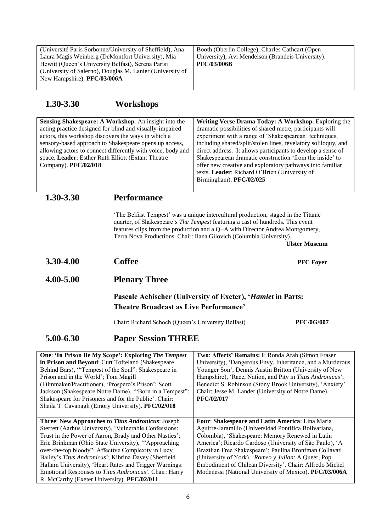| (Université Paris Sorbonne/University of Sheffield), Ana  | Booth (Oberlin College), Charles Cathcart (Open   |
|-----------------------------------------------------------|---------------------------------------------------|
| Laura Magis Weinberg (DeMontfort University), Mia         | University), Avi Mendelson (Brandeis University). |
| Hewitt (Queen's University Belfast), Serena Parisi        | <b>PFC/03/006B</b>                                |
| (University of Salerno), Douglas M. Lanier (University of |                                                   |
| New Hampshire). PFC/03/006A                               |                                                   |
|                                                           |                                                   |

## **1.30-3.30 Workshops**

| Company). PFC/02/018                                                                                                                                                                                                                                                                                                                                                                                                                    | Sensing Shakespeare: A Workshop. An insight into the<br>acting practice designed for blind and visually-impaired<br>actors, this workshop discovers the ways in which a<br>sensory-based approach to Shakespeare opens up access,<br>allowing actors to connect differently with voice, body and<br>space. Leader: Esther Ruth Elliott (Extant Theatre                                                                                                                                                        | Writing Verse Drama Today: A Workshop. Exploring the<br>dramatic possibilities of shared metre, participants will<br>experiment with a range of 'Shakespearean' techniques,<br>including shared/split/stolen lines, revelatory soliloquy, and<br>direct address. It allows participants to develop a sense of<br>Shakespearean dramatic construction 'from the inside' to<br>offer new creative and exploratory pathways into familiar<br>texts. Leader: Richard O'Brien (University of<br>Birmingham). PFC/02/025 |  |
|-----------------------------------------------------------------------------------------------------------------------------------------------------------------------------------------------------------------------------------------------------------------------------------------------------------------------------------------------------------------------------------------------------------------------------------------|---------------------------------------------------------------------------------------------------------------------------------------------------------------------------------------------------------------------------------------------------------------------------------------------------------------------------------------------------------------------------------------------------------------------------------------------------------------------------------------------------------------|--------------------------------------------------------------------------------------------------------------------------------------------------------------------------------------------------------------------------------------------------------------------------------------------------------------------------------------------------------------------------------------------------------------------------------------------------------------------------------------------------------------------|--|
| 1.30-3.30                                                                                                                                                                                                                                                                                                                                                                                                                               | <b>Performance</b>                                                                                                                                                                                                                                                                                                                                                                                                                                                                                            |                                                                                                                                                                                                                                                                                                                                                                                                                                                                                                                    |  |
|                                                                                                                                                                                                                                                                                                                                                                                                                                         |                                                                                                                                                                                                                                                                                                                                                                                                                                                                                                               | 'The Belfast Tempest' was a unique intercultural production, staged in the Titanic<br>quarter, of Shakespeare's The Tempest featuring a cast of hundreds. This event<br>features clips from the production and a Q+A with Director Andrea Montgomery,<br>Terra Nova Productions. Chair: Ilana Gilovich (Columbia University).<br><b>Ulster Museum</b>                                                                                                                                                              |  |
| 3.30-4.00                                                                                                                                                                                                                                                                                                                                                                                                                               | <b>Coffee</b>                                                                                                                                                                                                                                                                                                                                                                                                                                                                                                 | <b>PFC</b> Foyer                                                                                                                                                                                                                                                                                                                                                                                                                                                                                                   |  |
| 4.00-5.00                                                                                                                                                                                                                                                                                                                                                                                                                               | <b>Plenary Three</b>                                                                                                                                                                                                                                                                                                                                                                                                                                                                                          |                                                                                                                                                                                                                                                                                                                                                                                                                                                                                                                    |  |
|                                                                                                                                                                                                                                                                                                                                                                                                                                         | <b>Theatre Broadcast as Live Performance'</b>                                                                                                                                                                                                                                                                                                                                                                                                                                                                 | Pascale Aebischer (University of Exeter), 'Hamlet in Parts:                                                                                                                                                                                                                                                                                                                                                                                                                                                        |  |
|                                                                                                                                                                                                                                                                                                                                                                                                                                         | Chair: Richard Schoch (Queen's University Belfast)                                                                                                                                                                                                                                                                                                                                                                                                                                                            | <b>PFC/0G/007</b>                                                                                                                                                                                                                                                                                                                                                                                                                                                                                                  |  |
| 5.00-6.30<br><b>Paper Session THREE</b>                                                                                                                                                                                                                                                                                                                                                                                                 |                                                                                                                                                                                                                                                                                                                                                                                                                                                                                                               |                                                                                                                                                                                                                                                                                                                                                                                                                                                                                                                    |  |
| One: 'In Prison Be My Scope': Exploring The Tempest<br>in Prison and Beyond: Curt Tofteland (Shakespeare<br>Behind Bars), "Tempest of the Soul": Shakespeare in<br>Prison and in the World'; Tom Magill<br>(Filmmaker/Practitioner), 'Prospero's Prison'; Scott<br>Jackson (Shakespeare Notre Dame), "Born in a Tempest":<br>Shakespeare for Prisoners and for the Public'. Chair:<br>Sheila T. Cavanagh (Emory University). PFC/02/018 |                                                                                                                                                                                                                                                                                                                                                                                                                                                                                                               | Two: Affects' Remains: I: Ronda Arab (Simon Fraser<br>University), 'Dangerous Envy, Inheritance, and a Murderous<br>Younger Son'; Dennis Austin Britton (University of New<br>Hampshire), 'Race, Nation, and Pity in Titus Andronicus';<br>Benedict S. Robinson (Stony Brook University), 'Anxiety'.<br>Chair: Jesse M. Lander (University of Notre Dame).<br><b>PFC/02/017</b>                                                                                                                                    |  |
|                                                                                                                                                                                                                                                                                                                                                                                                                                         | Three: New Approaches to Titus Andronicus: Joseph<br>Sterrett (Aarhus University), 'Vulnerable Confessions:<br>Trust in the Power of Aaron, Brady and Other Nasties';<br>Eric Brinkman (Ohio State University), "Approaching<br>over-the-top bloody": Affective Complexity in Lucy<br>Bailey's Titus Andronicus'; Kibrina Davey (Sheffield<br>Hallam University), 'Heart Rates and Trigger Warnings:<br>Emotional Responses to Titus Andronicus'. Chair: Harry<br>R. McCarthy (Exeter University). PFC/02/011 | Four: Shakespeare and Latin America: Lina Maria<br>Aguirre-Jaramillo (Universidad Pontifica Bolivariana,<br>Colombia), 'Shakespeare: Memory Renewed in Latin<br>America'; Ricardo Cardoso (University of São Paulo), 'A<br>Brazilian Free Shakespeare'; Paulina Bronfman Collavati<br>(University of York), 'Romeo y Julian: A Queer, Pop<br>Embodiment of Chilean Diversity'. Chair: Alfredo Michel<br>Modenessi (National University of Mexico). PFC/03/006A                                                     |  |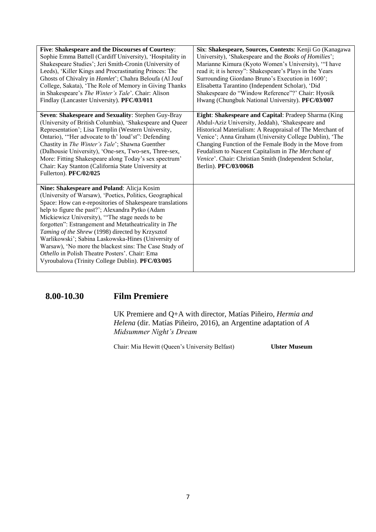| Five: Shakespeare and the Discourses of Courtesy:         | Six: Shakespeare, Sources, Contexts: Kenji Go (Kanagawa  |
|-----------------------------------------------------------|----------------------------------------------------------|
| Sophie Emma Battell (Cardiff University), 'Hospitality in | University), 'Shakespeare and the Books of Homilies';    |
| Shakespeare Studies'; Jeri Smith-Cronin (University of    | Marianne Kimura (Kyoto Women's University), "I have      |
| Leeds), 'Killer Kings and Procrastinating Princes: The    | read it; it is heresy": Shakespeare's Plays in the Years |
| Ghosts of Chivalry in Hamlet'; Chahra Beloufa (Al Jouf    | Surrounding Giordano Bruno's Execution in 1600';         |
| College, Sakata), 'The Role of Memory in Giving Thanks    | Elisabetta Tarantino (Independent Scholar), 'Did         |
| in Shakespeare's The Winter's Tale'. Chair: Alison        | Shakespeare do "Window Reference"?' Chair: Hyosik        |
| Findlay (Lancaster University). PFC/03/011                | Hwang (Chungbuk National University). PFC/03/007         |
|                                                           |                                                          |
| Seven: Shakespeare and Sexuality: Stephen Guy-Bray        | Eight: Shakespeare and Capital: Pradeep Sharma (King     |
| (University of British Columbia), 'Shakespeare and Queer  | Abdul-Aziz University, Jeddah), 'Shakespeare and         |
| Representation'; Lisa Templin (Western University,        | Historical Materialism: A Reappraisal of The Merchant of |
| Ontario), "Her advocate to th' loud'st": Defending        | Venice'; Anna Graham (University College Dublin), 'The   |
| Chastity in The Winter's Tale'; Shawna Guenther           | Changing Function of the Female Body in the Move from    |
| (Dalhousie University), 'One-sex, Two-sex, Three-sex,     | Feudalism to Nascent Capitalism in The Merchant of       |
| More: Fitting Shakespeare along Today's sex spectrum'     | Venice'. Chair: Christian Smith (Independent Scholar,    |
|                                                           |                                                          |
| Chair: Kay Stanton (California State University at        | Berlin). PFC/03/006B                                     |
| Fullerton). PFC/02/025                                    |                                                          |
|                                                           |                                                          |
| Nine: Shakespeare and Poland: Alicja Kosim                |                                                          |
| (University of Warsaw), 'Poetics, Politics, Geographical  |                                                          |
| Space: How can e-repositories of Shakespeare translations |                                                          |
| help to figure the past?'; Alexandra Pytko (Adam          |                                                          |
| Mickiewicz University), "The stage needs to be            |                                                          |
| forgotten": Estrangement and Metatheatricality in The     |                                                          |
| Taming of the Shrew (1998) directed by Krzysztof          |                                                          |
| Warlikowski'; Sabina Laskowska-Hines (University of       |                                                          |
| Warsaw), 'No more the blackest sins: The Case Study of    |                                                          |
| Othello in Polish Theatre Posters'. Chair: Ema            |                                                          |
| Vyroubalova (Trinity College Dublin). PFC/03/005          |                                                          |
|                                                           |                                                          |

**8.00-10.30 Film Premiere**

UK Premiere and Q+A with director, Matías Piñeiro, *Hermia and Helena* (dir. Matías Piñeiro, 2016), an Argentine adaptation of *A Midsummer Night's Dream*

Chair: Mia Hewitt (Queen's University Belfast) **Ulster Museum**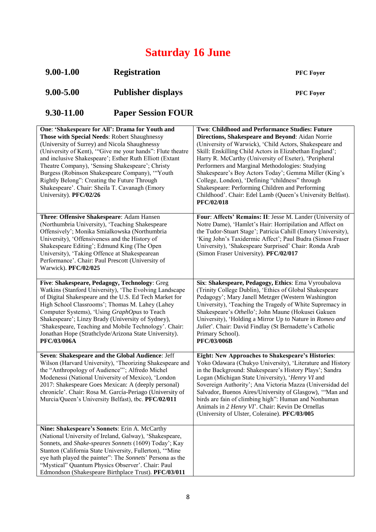# **Saturday 16 June**

| $9.00 - 1.00$                                                                                                                                                                                                                                                                                                                                                                                   | <b>Registration</b>                                                                                                                                                                                                                                                                                                                                                                         | <b>PFC</b> Foyer                                                                                                                                                                                                                                                                                                                                                                                                                                                                                                                                                                |
|-------------------------------------------------------------------------------------------------------------------------------------------------------------------------------------------------------------------------------------------------------------------------------------------------------------------------------------------------------------------------------------------------|---------------------------------------------------------------------------------------------------------------------------------------------------------------------------------------------------------------------------------------------------------------------------------------------------------------------------------------------------------------------------------------------|---------------------------------------------------------------------------------------------------------------------------------------------------------------------------------------------------------------------------------------------------------------------------------------------------------------------------------------------------------------------------------------------------------------------------------------------------------------------------------------------------------------------------------------------------------------------------------|
| 9.00-5.00                                                                                                                                                                                                                                                                                                                                                                                       | <b>Publisher displays</b>                                                                                                                                                                                                                                                                                                                                                                   | <b>PFC</b> Foyer                                                                                                                                                                                                                                                                                                                                                                                                                                                                                                                                                                |
| 9.30-11.00                                                                                                                                                                                                                                                                                                                                                                                      | <b>Paper Session FOUR</b>                                                                                                                                                                                                                                                                                                                                                                   |                                                                                                                                                                                                                                                                                                                                                                                                                                                                                                                                                                                 |
| Those with Special Needs: Robert Shaughnessy<br>(University of Surrey) and Nicola Shaughnessy<br>Rightly Belong": Creating the Future Through<br>Shakespeare'. Chair: Sheila T. Cavanagh (Emory<br>University). PFC/02/26                                                                                                                                                                       | One: 'Shakespeare for All': Drama for Youth and<br>(University of Kent), "Give me your hands": Flute theatre<br>and inclusive Shakespeare'; Esther Ruth Elliott (Extant<br>Theatre Company), 'Sensing Shakespeare'; Christy<br>Burgess (Robinson Shakespeare Company), "Youth                                                                                                               | Two: Childhood and Performance Studies: Future<br>Directions, Shakespeare and Beyond: Aidan Norrie<br>(University of Warwick), 'Child Actors, Shakespeare and<br>Skill: Enskilling Child Actors in Elizabethan England';<br>Harry R. McCarthy (University of Exeter), 'Peripheral<br>Performers and Marginal Methodologies: Studying<br>Shakespeare's Boy Actors Today'; Gemma Miller (King's<br>College, London), 'Defining "childness" through<br>Shakespeare: Performing Children and Performing<br>Childhood'. Chair: Edel Lamb (Queen's University Belfast).<br>PFC/02/018 |
| Three: Offensive Shakespeare: Adam Hansen<br>University), 'Offensiveness and the History of<br>Shakespeare Editing'; Edmund King (The Open<br>University), 'Taking Offence at Shakespearean<br>Performance'. Chair: Paul Prescott (University of<br>Warwick). PFC/02/025                                                                                                                        | (Northumbria University), 'Teaching Shakespeare<br>Offensively'; Monika Smialkowska (Northumbria                                                                                                                                                                                                                                                                                            | Four: Affects' Remains: II: Jesse M. Lander (University of<br>Notre Dame), 'Hamlet's Hair: Horripilation and Affect on<br>the Tudor-Stuart Stage'; Patricia Cahill (Emory University),<br>'King John's Taxidermic Affect'; Paul Budra (Simon Fraser<br>University), 'Shakespeare Surprised' Chair: Ronda Arab<br>(Simon Fraser University). PFC/02/017                                                                                                                                                                                                                          |
| Computer Systems), 'Using GraphOpus to Teach<br><b>PFC/03/006A</b>                                                                                                                                                                                                                                                                                                                              | Five: Shakespeare, Pedagogy, Technology: Greg<br>Watkins (Stanford University), 'The Evolving Landscape<br>of Digital Shakespeare and the U.S. Ed Tech Market for<br>High School Classrooms'; Thomas M. Lahey (Lahey<br>Shakespeare'; Linzy Brady (University of Sydney),<br>'Shakespeare, Teaching and Mobile Technology'. Chair:<br>Jonathan Hope (Strathclyde/Arizona State University). | Six: Shakespeare, Pedagogy, Ethics: Ema Vyroubalova<br>(Trinity College Dublin), 'Ethics of Global Shakespeare<br>Pedagogy'; Mary Janell Metzger (Western Washington<br>University), 'Teaching the Tragedy of White Supremacy in<br>Shakespeare's Othello'; John Maune (Hokusei Gakuen<br>University), 'Holding a Mirror Up to Nature in Romeo and<br>Juliet'. Chair: David Findlay (St Bernadette's Catholic<br>Primary School).<br><b>PFC/03/006B</b>                                                                                                                         |
| Seven: Shakespeare and the Global Audience: Jeff<br>Wilson (Harvard University), 'Theorizing Shakespeare and<br>the "Anthropology of Audience""; Alfredo Michel<br>Modenessi (National University of Mexico), 'London<br>2017: Shakespeare Goes Mexican: A (deeply personal)<br>chronicle'. Chair: Rosa M. García-Periago (University of<br>Murcia/Queen's University Belfast), tbc. PFC/02/011 |                                                                                                                                                                                                                                                                                                                                                                                             | <b>Eight: New Approaches to Shakespeare's Histories:</b><br>Yoko Odawara (Chukyo University), 'Literature and History<br>in the Background: Shakespeare's History Plays'; Sandra<br>Logan (Michigan State University), 'Henry VI and<br>Sovereign Authority'; Ana Victoria Mazza (Universidad del<br>Salvador, Buenos Aires/University of Glasgow), "Man and<br>birds are fain of climbing high": Human and Nonhuman<br>Animals in 2 Henry VI'. Chair: Kevin De Ornellas<br>(University of Ulster, Coleraine). PFC/03/005                                                       |
| Nine: Shakespeare's Sonnets: Erin A. McCarthy                                                                                                                                                                                                                                                                                                                                                   | (National University of Ireland, Galway), 'Shakespeare,<br>Sonnets, and Shake-speares Sonnets (1609) Today'; Kay<br>Stanton (California State University, Fullerton), "Mine<br>eye hath played the painter": The Sonnets' Persona as the<br>"Mystical" Quantum Physics Observer'. Chair: Paul<br>Edmondson (Shakespeare Birthplace Trust). PFC/03/011                                       |                                                                                                                                                                                                                                                                                                                                                                                                                                                                                                                                                                                 |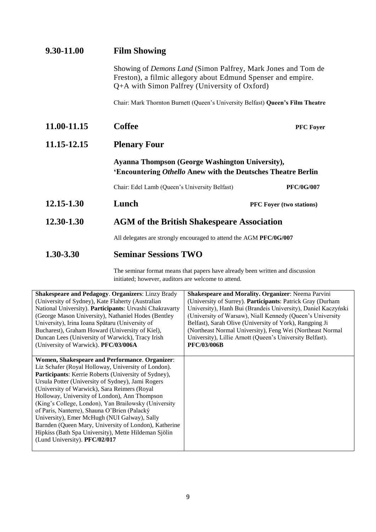| 9.30-11.00  | <b>Film Showing</b>                                                                                                                                                                  |                                 |
|-------------|--------------------------------------------------------------------------------------------------------------------------------------------------------------------------------------|---------------------------------|
|             | Showing of <i>Demons Land</i> (Simon Palfrey, Mark Jones and Tom de<br>Freston), a filmic allegory about Edmund Spenser and empire.<br>Q+A with Simon Palfrey (University of Oxford) |                                 |
|             | Chair: Mark Thornton Burnett (Queen's University Belfast) Queen's Film Theatre                                                                                                       |                                 |
| 11.00-11.15 | <b>Coffee</b><br><b>PFC Foyer</b>                                                                                                                                                    |                                 |
| 11.15-12.15 | <b>Plenary Four</b>                                                                                                                                                                  |                                 |
|             | <b>Ayanna Thompson (George Washington University),</b><br>'Encountering Othello Anew with the Deutsches Theatre Berlin                                                               |                                 |
|             | Chair: Edel Lamb (Queen's University Belfast)                                                                                                                                        | <b>PFC/0G/007</b>               |
| 12.15-1.30  | Lunch                                                                                                                                                                                | <b>PFC Foyer (two stations)</b> |
| 12.30-1.30  | <b>AGM</b> of the British Shakespeare Association                                                                                                                                    |                                 |
|             | All delegates are strongly encouraged to attend the AGM PFC/0G/007                                                                                                                   |                                 |
| 1.30-3.30   | <b>Seminar Sessions TWO</b>                                                                                                                                                          |                                 |

The seminar format means that papers have already been written and discussion initiated; however, auditors are welcome to attend.

| <b>Shakespeare and Pedagogy. Organizers: Linzy Brady</b>                                                                                                                                                                                                                                                                                                                                                                                                                                                                                                                                                                       | <b>Shakespeare and Morality. Organizer: Neema Parvini</b>     |
|--------------------------------------------------------------------------------------------------------------------------------------------------------------------------------------------------------------------------------------------------------------------------------------------------------------------------------------------------------------------------------------------------------------------------------------------------------------------------------------------------------------------------------------------------------------------------------------------------------------------------------|---------------------------------------------------------------|
| (University of Sydney), Kate Flaherty (Australian                                                                                                                                                                                                                                                                                                                                                                                                                                                                                                                                                                              | (University of Surrey). Participants: Patrick Gray (Durham    |
| National University). Participants: Urvashi Chakravarty                                                                                                                                                                                                                                                                                                                                                                                                                                                                                                                                                                        | University), Hanh Bui (Brandeis University), Daniel Kaczyński |
| (George Mason University), Nathaniel Hodes (Bentley)                                                                                                                                                                                                                                                                                                                                                                                                                                                                                                                                                                           | (University of Warsaw), Niall Kennedy (Queen's University     |
| University), Irina Ioana Spătaru (University of                                                                                                                                                                                                                                                                                                                                                                                                                                                                                                                                                                                | Belfast), Sarah Olive (University of York), Rangping Ji       |
| Bucharest), Graham Howard (University of Kiel),                                                                                                                                                                                                                                                                                                                                                                                                                                                                                                                                                                                | (Northeast Normal University), Feng Wei (Northeast Normal     |
| Duncan Lees (University of Warwick), Tracy Irish                                                                                                                                                                                                                                                                                                                                                                                                                                                                                                                                                                               | University), Lillie Arnott (Queen's University Belfast).      |
| (University of Warwick). PFC/03/006A                                                                                                                                                                                                                                                                                                                                                                                                                                                                                                                                                                                           | <b>PFC/03/006B</b>                                            |
| Women, Shakespeare and Performance. Organizer:<br>Liz Schafer (Royal Holloway, University of London).<br>Participants: Kerrie Roberts (University of Sydney),<br>Ursula Potter (University of Sydney), Jami Rogers<br>(University of Warwick), Sara Reimers (Royal<br>Holloway, University of London), Ann Thompson<br>(King's College, London), Yan Brailowsky (University)<br>of Paris, Nanterre), Shauna O'Brien (Palacký<br>University), Emer McHugh (NUI Galway), Sally<br>Barnden (Queen Mary, University of London), Katherine<br>Hipkiss (Bath Spa University), Mette Hildeman Sjölin<br>(Lund University). PFC/02/017 |                                                               |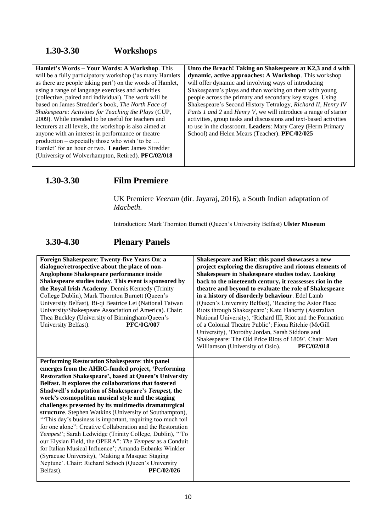## **1.30-3.30 Workshops**

| Hamlet's Words - Your Words: A Workshop. This             | Unto the Breach! Taking on Shakespeare at K2,3 and 4 with               |
|-----------------------------------------------------------|-------------------------------------------------------------------------|
| will be a fully participatory workshop ('as many Hamlets  | dynamic, active approaches: A Workshop. This workshop                   |
| as there are people taking part') on the words of Hamlet, | will offer dynamic and involving ways of introducing                    |
| using a range of language exercises and activities        | Shakespeare's plays and then working on them with young                 |
| (collective, paired and individual). The work will be     | people across the primary and secondary key stages. Using               |
| based on James Stredder's book, The North Face of         | Shakespeare's Second History Tetralogy, Richard II, Henry IV            |
| Shakespeare: Activities for Teaching the Plays (CUP,      | <i>Parts 1 and 2 and Henry V</i> , we will introduce a range of starter |
| 2009). While intended to be useful for teachers and       | activities, group tasks and discussions and text-based activities       |
| lecturers at all levels, the workshop is also aimed at    | to use in the classroom. Leaders: Mary Carey (Herm Primary              |
| anyone with an interest in performance or theatre         | School) and Helen Mears (Teacher). PFC/02/025                           |
| production – especially those who wish 'to be             |                                                                         |
| Hamlet' for an hour or two. Leader: James Stredder        |                                                                         |
| (University of Wolverhampton, Retired). PFC/02/018        |                                                                         |
|                                                           |                                                                         |

## **1.30-3.30 Film Premiere**

UK Premiere *Veeram* (dir. Jayaraj, 2016), a South Indian adaptation of *Macbeth*.

Introduction: Mark Thornton Burnett (Queen's University Belfast) **Ulster Museum**

## **3.30-4.30 Plenary Panels**

| Foreign Shakespeare: Twenty-five Years On: a<br>dialogue/retrospective about the place of non-<br>Anglophone Shakespeare performance inside<br>Shakespeare studies today. This event is sponsored by<br>the Royal Irish Academy. Dennis Kennedy (Trinity<br>College Dublin), Mark Thornton Burnett (Queen's<br>University Belfast), Bi-qi Beatrice Lei (National Taiwan<br>University/Shakespeare Association of America). Chair:<br>Thea Buckley (University of Birmingham/Queen's<br>University Belfast).<br><b>PFC/0G/007</b>                                                                                                                                                                                                                                                                                                                                                                        | Shakespeare and Riot: this panel showcases a new<br>project exploring the disruptive and riotous elements of<br>Shakespeare in Shakespeare studies today. Looking<br>back to the nineteenth century, it reassesses riot in the<br>theatre and beyond to evaluate the role of Shakespeare<br>in a history of disorderly behaviour. Edel Lamb<br>(Queen's University Belfast), 'Reading the Astor Place<br>Riots through Shakespeare'; Kate Flaherty (Australian<br>National University), 'Richard III, Riot and the Formation<br>of a Colonial Theatre Public'; Fiona Ritchie (McGill<br>University), 'Dorothy Jordan, Sarah Siddons and<br>Shakespeare: The Old Price Riots of 1809'. Chair: Matt<br>Williamson (University of Oslo).<br><b>PFC/02/018</b> |
|---------------------------------------------------------------------------------------------------------------------------------------------------------------------------------------------------------------------------------------------------------------------------------------------------------------------------------------------------------------------------------------------------------------------------------------------------------------------------------------------------------------------------------------------------------------------------------------------------------------------------------------------------------------------------------------------------------------------------------------------------------------------------------------------------------------------------------------------------------------------------------------------------------|------------------------------------------------------------------------------------------------------------------------------------------------------------------------------------------------------------------------------------------------------------------------------------------------------------------------------------------------------------------------------------------------------------------------------------------------------------------------------------------------------------------------------------------------------------------------------------------------------------------------------------------------------------------------------------------------------------------------------------------------------------|
| Performing Restoration Shakespeare: this panel<br>emerges from the AHRC-funded project, 'Performing<br>Restoration Shakespeare', based at Queen's University<br>Belfast. It explores the collaborations that fostered<br>Shadwell's adaptation of Shakespeare's Tempest, the<br>work's cosmopolitan musical style and the staging<br>challenges presented by its multimedia dramaturgical<br>structure. Stephen Watkins (University of Southampton),<br>"This day's business is important, requiring too much toil"<br>for one alone": Creative Collaboration and the Restoration<br>Tempest'; Sarah Ledwidge (Trinity College, Dublin), "To<br>our Elysian Field, the OPERA": The Tempest as a Conduit<br>for Italian Musical Influence'; Amanda Eubanks Winkler<br>(Syracuse University), 'Making a Masque: Staging<br>Neptune'. Chair: Richard Schoch (Queen's University<br>Belfast).<br>PFC/02/026 |                                                                                                                                                                                                                                                                                                                                                                                                                                                                                                                                                                                                                                                                                                                                                            |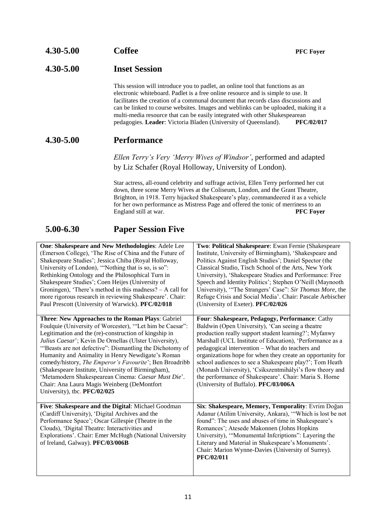#### **4.30-5.00 Inset Session**

This session will introduce you to padlet, an online tool that functions as an electronic whiteboard. Padlet is a free online resource and is simple to use. It facilitates the creation of a communal document that records class discussions and can be linked to course websites. Images and weblinks can be uploaded, making it a multi-media resource that can be easily integrated with other Shakespearean pedagogies. **Leader**: Victoria Bladen (University of Queensland). **PFC/02/017**

#### **4.30-5.00 Performance**

*Ellen Terry's Very 'Merry Wives of Windsor'*, performed and adapted by Liz Schafer (Royal Holloway, University of London).

Star actress, all-round celebrity and suffrage activist, Ellen Terry performed her cut down, three scene Merry Wives at the Coliseum, London, and the Grant Theatre, Brighton, in 1918. Terry hijacked Shakespeare's play, commandeered it as a vehicle for her own performance as Mistress Page and offered the tonic of merriness to an England still at war. **PFC Foyer**

#### **5.00-6.30 Paper Session Five**

| One: Shakespeare and New Methodologies: Adele Lee<br>(Emerson College), 'The Rise of China and the Future of<br>Shakespeare Studies'; Jessica Chiba (Royal Holloway,<br>University of London), "Nothing that is so, is so":<br>Rethinking Ontology and the Philosophical Turn in<br>Shakespeare Studies'; Coen Heijes (University of<br>Groningen), 'There's method in this madness? $-$ A call for<br>more rigorous research in reviewing Shakespeare'. Chair:<br>Paul Prescott (University of Warwick). PFC/02/018                                                                                     | Two: Political Shakespeare: Ewan Fernie (Shakespeare<br>Institute, University of Birmingham), 'Shakespeare and<br>Politics Against English Studies'; Daniel Spector (the<br>Classical Studio, Tisch School of the Arts, New York<br>University), 'Shakespeare Studies and Performance: Free<br>Speech and Identity Politics'; Stephen O'Neill (Maynooth<br>University), "The Strangers' Case": Sir Thomas More, the<br>Refuge Crisis and Social Media'. Chair: Pascale Aebischer<br>(University of Exeter). PFC/02/026                                             |
|----------------------------------------------------------------------------------------------------------------------------------------------------------------------------------------------------------------------------------------------------------------------------------------------------------------------------------------------------------------------------------------------------------------------------------------------------------------------------------------------------------------------------------------------------------------------------------------------------------|--------------------------------------------------------------------------------------------------------------------------------------------------------------------------------------------------------------------------------------------------------------------------------------------------------------------------------------------------------------------------------------------------------------------------------------------------------------------------------------------------------------------------------------------------------------------|
| Three: New Approaches to the Roman Plays: Gabriel<br>Foulquie (University of Worcester), "Let him be Caesar":<br>Legitimation and the (re)-construction of kingship in<br>Julius Caesar'; Kevin De Ornellas (Ulster University),<br>"Beasts are not defective": Dismantling the Dichotomy of<br>Humanity and Animality in Henry Newdigate's Roman<br>comedy/history, The Emperor's Favourite'; Ben Broadribb<br>(Shakespeare Institute, University of Birmingham),<br>'Metamodern Shakespearean Cinema: Caesar Must Die'.<br>Chair: Ana Laura Magis Weinberg (DeMontfort<br>University), tbc. PFC/02/025 | Four: Shakespeare, Pedagogy, Performance: Cathy<br>Baldwin (Open University), 'Can seeing a theatre<br>production really support student learning?'; Myfanwy<br>Marshall (UCL Institute of Education), 'Performance as a<br>pedagogical intervention - What do teachers and<br>organizations hope for when they create an opportunity for<br>school audiences to see a Shakespeare play?'; Tom Heath<br>(Monash University), 'Csíkszentmihályi's flow theory and<br>the performance of Shakespeare'. Chair: Maria S. Horne<br>(University of Buffalo). PFC/03/006A |
| Five: Shakespeare and the Digital: Michael Goodman<br>(Cardiff University), 'Digital Archives and the<br>Performance Space'; Oscar Gillespie (Theatre in the<br>Clouds), 'Digital Theatre: Interactivities and<br>Explorations'. Chair: Emer McHugh (National University<br>of Ireland, Galway). PFC/03/006B                                                                                                                                                                                                                                                                                             | Six: Shakespeare, Memory, Temporality: Evrim Doğan<br>Adanur (Atilim University, Ankara), "Which is lost be not<br>found": The uses and abuses of time in Shakespeare's<br>Romances'; Atesede Makonnen (Johns Hopkins<br>University), "Monumental Infcriptions": Layering the<br>Literary and Material in Shakespeare's Monuments'.<br>Chair: Marion Wynne-Davies (University of Surrey).<br>PFC/02/011                                                                                                                                                            |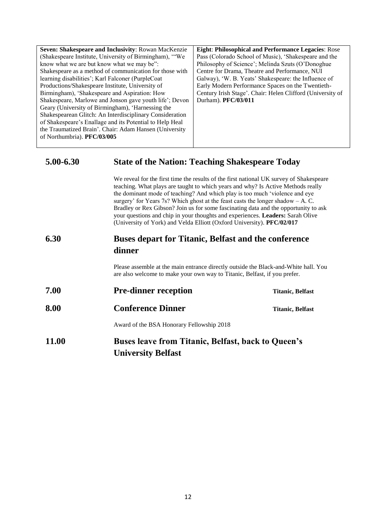| Seven: Shakespeare and Inclusivity: Rowan MacKenzie      | <b>Eight: Philosophical and Performance Legacies: Rose</b> |
|----------------------------------------------------------|------------------------------------------------------------|
| (Shakespeare Institute, University of Birmingham), "We   | Pass (Colorado School of Music), 'Shakespeare and the      |
| know what we are but know what we may be":               | Philosophy of Science'; Melinda Szuts (O'Donoghue)         |
| Shakespeare as a method of communication for those with  | Centre for Drama, Theatre and Performance, NUI             |
| learning disabilities'; Karl Falconer (PurpleCoat)       | Galway), 'W. B. Yeats' Shakespeare: the Influence of       |
| Productions/Shakespeare Institute, University of         | Early Modern Performance Spaces on the Twentieth-          |
| Birmingham), 'Shakespeare and Aspiration: How            | Century Irish Stage'. Chair: Helen Clifford (University of |
| Shakespeare, Marlowe and Jonson gave youth life'; Devon  | Durham). PFC/03/011                                        |
| Geary (University of Birmingham), 'Harnessing the        |                                                            |
| Shakespearean Glitch: An Interdisciplinary Consideration |                                                            |
| of Shakespeare's Enallage and its Potential to Help Heal |                                                            |
| the Traumatized Brain'. Chair: Adam Hansen (University   |                                                            |
| of Northumbria). PFC/03/005                              |                                                            |
|                                                          |                                                            |

#### **5.00-6.30 State of the Nation: Teaching Shakespeare Today**

We reveal for the first time the results of the first national UK survey of Shakespeare teaching. What plays are taught to which years and why? Is Active Methods really the dominant mode of teaching? And which play is too much 'violence and eye surgery' for Years 7s? Which ghost at the feast casts the longer shadow – A. C. Bradley or Rex Gibson? Join us for some fascinating data and the opportunity to ask your questions and chip in your thoughts and experiences. **Leaders:** Sarah Olive (University of York) and Velda Elliott (Oxford University). **PFC/02/017**

### **6.30 Buses depart for Titanic, Belfast and the conference dinner**

Please assemble at the main entrance directly outside the Black-and-White hall. You are also welcome to make your own way to Titanic, Belfast, if you prefer.

**7.00 Pre-dinner reception Titanic, Belfast 8.00 Conference Dinner Titanic, Belfast** Award of the BSA Honorary Fellowship 2018

## **11.00 Buses leave from Titanic, Belfast, back to Queen's University Belfast**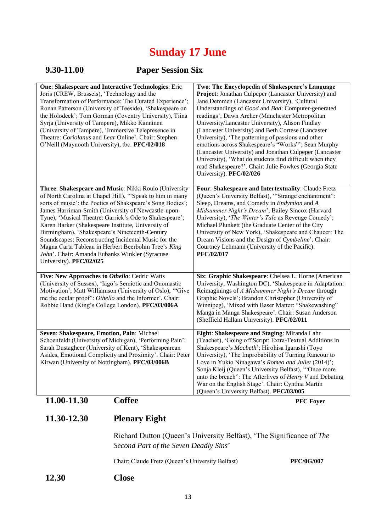## **Sunday 17 June**

## **9.30-11.00 Paper Session Six**

| One: Shakespeare and Interactive Technologies: Eric<br>Joris (CREW, Brussels), 'Technology and the<br>Transformation of Performance: The Curated Experience';<br>Ronan Patterson (University of Teeside), 'Shakespeare on<br>the Holodeck'; Tom Gorman (Coventry University), Tiina<br>Syrja (University of Tampere), Mikko Kanninen<br>(University of Tampere), 'Immersive Telepresence in<br>Theatre: Coriolanus and Lear Online'. Chair: Stephen<br>O'Neill (Maynooth University), tbc. PFC/02/018                                                                                                 | Two: The Encyclopedia of Shakespeare's Language<br>Project: Jonathan Culpeper (Lancaster University) and<br>Jane Demmen (Lancaster University), 'Cultural<br>Understandings of Good and Bad: Computer-generated<br>readings'; Dawn Archer (Manchester Metropolitan<br>University/Lancaster University), Alison Findlay<br>(Lancaster University) and Beth Cortese (Lancaster<br>University), 'The patterning of passions and other<br>emotions across Shakespeare's "Works"'; Sean Murphy<br>(Lancaster University) and Jonathan Culpeper (Lancaster<br>University), 'What do students find difficult when they<br>read Shakespeare?'. Chair: Julie Fowkes (Georgia State<br>University). PFC/02/026 |
|-------------------------------------------------------------------------------------------------------------------------------------------------------------------------------------------------------------------------------------------------------------------------------------------------------------------------------------------------------------------------------------------------------------------------------------------------------------------------------------------------------------------------------------------------------------------------------------------------------|------------------------------------------------------------------------------------------------------------------------------------------------------------------------------------------------------------------------------------------------------------------------------------------------------------------------------------------------------------------------------------------------------------------------------------------------------------------------------------------------------------------------------------------------------------------------------------------------------------------------------------------------------------------------------------------------------|
| Three: Shakespeare and Music: Nikki Roulo (University<br>of North Carolina at Chapel Hill), "Speak to him in many<br>sorts of music': the Poetics of Shakspeare's Song Bodies';<br>James Harriman-Smith (University of Newcastle-upon-<br>Tyne), 'Musical Theatre: Garrick's Ode to Shakespeare';<br>Karen Harker (Shakespeare Institute, University of<br>Birmingham), 'Shakespeare's Nineteenth-Century<br>Soundscapes: Reconstructing Incidental Music for the<br>Magna Carta Tableau in Herbert Beerbohm Tree's King<br>John'. Chair: Amanda Eubanks Winkler (Syracuse<br>University). PFC/02/025 | Four: Shakespeare and Intertextuality: Claude Fretz<br>(Queen's University Belfast), "'Strange enchantment":<br>Sleep, Dreams, and Comedy in Endymion and A<br>Midsummer Night's Dream'; Bailey Sincox (Harvard<br>University), 'The Winter's Tale as Revenge Comedy';<br>Michael Plunkett (the Graduate Center of the City<br>University of New York), 'Shakespeare and Chaucer: The<br>Dream Visions and the Design of Cymbeline'. Chair:<br>Courtney Lehmann (University of the Pacific).<br>PFC/02/017                                                                                                                                                                                           |
| Five: New Approaches to Othello: Cedric Watts<br>(University of Sussex), 'Iago's Semiotic and Onomastic<br>Motivation'; Matt Williamson (University of Oslo), "Give<br>me the ocular proof": Othello and the Informer'. Chair:<br>Robbie Hand (King's College London). PFC/03/006A                                                                                                                                                                                                                                                                                                                    | Six: Graphic Shakespeare: Chelsea L. Horne (American<br>University, Washington DC), 'Shakespeare in Adaptation:<br>Reimaginings of A Midsummer Night's Dream through<br>Graphic Novels'; Brandon Christopher (University of<br>Winnipeg), 'Mixed with Baser Matter: "Shakewashing"<br>Manga in Manga Shakespeare'. Chair: Susan Anderson<br>(Sheffield Hallam University). PFC/02/011                                                                                                                                                                                                                                                                                                                |
| Seven: Shakespeare, Emotion, Pain: Michael<br>Schoenfeldt (University of Michigan), 'Performing Pain';<br>Sarah Dustagheer (University of Kent), 'Shakespearean<br>Asides, Emotional Complicity and Proximity'. Chair: Peter<br>Kirwan (University of Nottingham). PFC/03/006B                                                                                                                                                                                                                                                                                                                        | Eight: Shakespeare and Staging: Miranda Lahr<br>(Teacher), 'Going off Script: Extra-Textual Additions in<br>Shakespeare's Macbeth'; Hirohisa Igarashi (Toyo<br>University), 'The Improbability of Turning Rancour to<br>Love in Yukio Ninagawa's Romeo and Juliet (2014)';<br>Sonja Kleij (Queen's University Belfast), "Once more<br>unto the breach": The Afterlives of <i>Henry V</i> and Debating<br>War on the English Stage'. Chair: Cynthia Martin<br>(Queen's University Belfast). PFC/03/005                                                                                                                                                                                                |
| 11.00-11.30<br><b>Coffee</b>                                                                                                                                                                                                                                                                                                                                                                                                                                                                                                                                                                          | <b>PFC Foyer</b>                                                                                                                                                                                                                                                                                                                                                                                                                                                                                                                                                                                                                                                                                     |

# **11.30-12.30 Plenary Eight**

#### Richard Dutton (Queen's University Belfast), 'The Significance of *The Second Part of the Seven Deadly Sins*'

Chair: Claude Fretz (Queen's University Belfast) **PFC/0G/007**

**12.30 Close**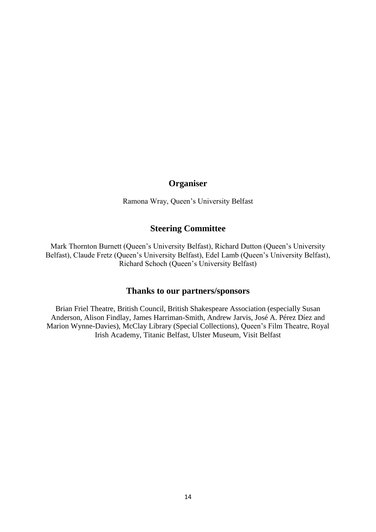#### **Organiser**

Ramona Wray, Queen's University Belfast

#### **Steering Committee**

Mark Thornton Burnett (Queen's University Belfast), Richard Dutton (Queen's University Belfast), Claude Fretz (Queen's University Belfast), Edel Lamb (Queen's University Belfast), Richard Schoch (Queen's University Belfast)

#### **Thanks to our partners/sponsors**

Brian Friel Theatre, British Council, British Shakespeare Association (especially Susan Anderson, Alison Findlay, James Harriman-Smith, Andrew Jarvis, José A. Pérez Díez and Marion Wynne-Davies), McClay Library (Special Collections), Queen's Film Theatre, Royal Irish Academy, Titanic Belfast, Ulster Museum, Visit Belfast